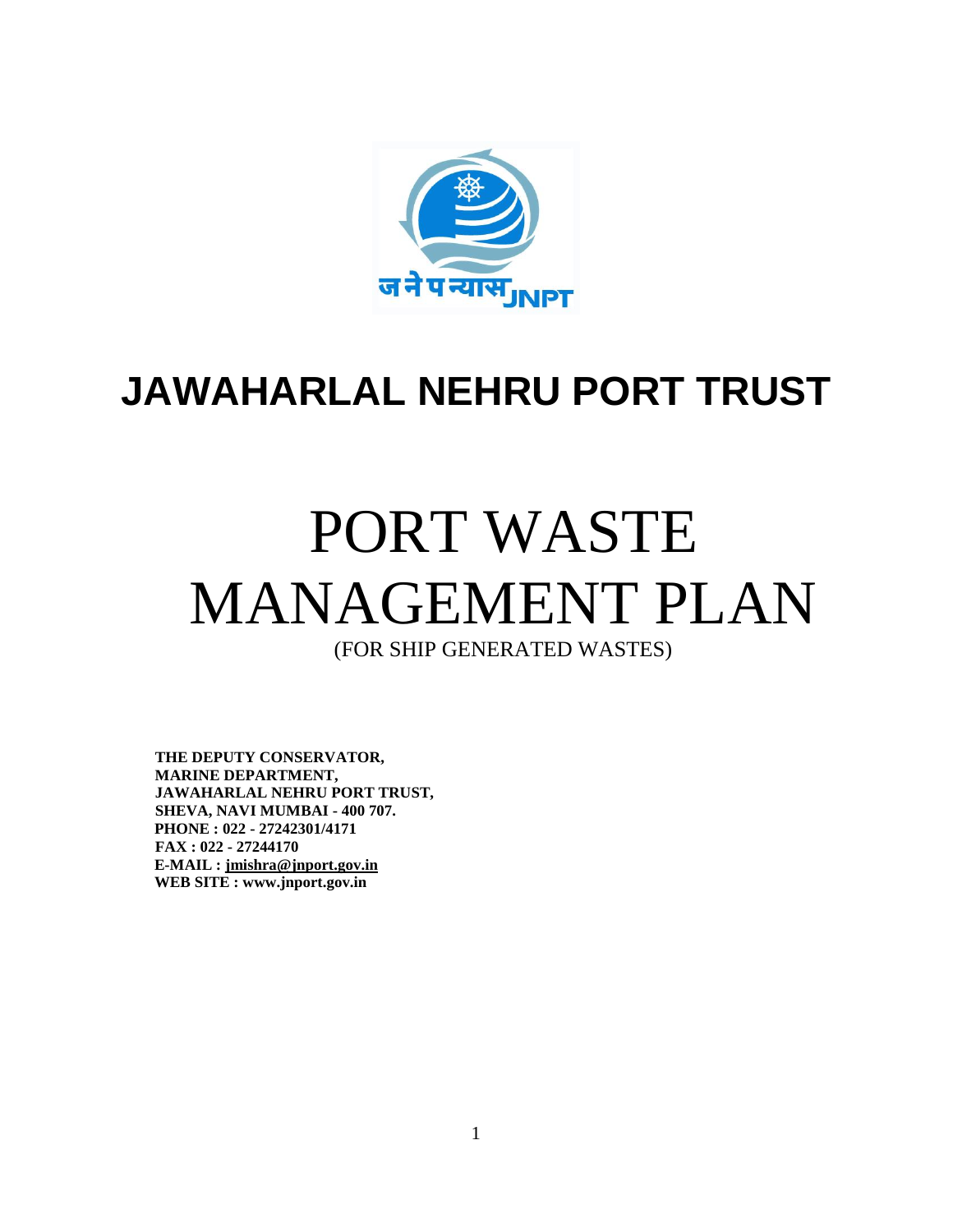

# **JAWAHARLAL NEHRU PORT TRUST**

# PORT WASTE MANAGEMENT PLAN

(FOR SHIP GENERATED WASTES)

**THE DEPUTY CONSERVATOR, MARINE DEPARTMENT, JAWAHARLAL NEHRU PORT TRUST, SHEVA, NAVI MUMBAI - 400 707. PHONE : 022 - 27242301/4171 FAX : 022 - 27244170 E-MAIL : jmishra@jnport.gov.in WEB SITE : www.jnport.gov.in**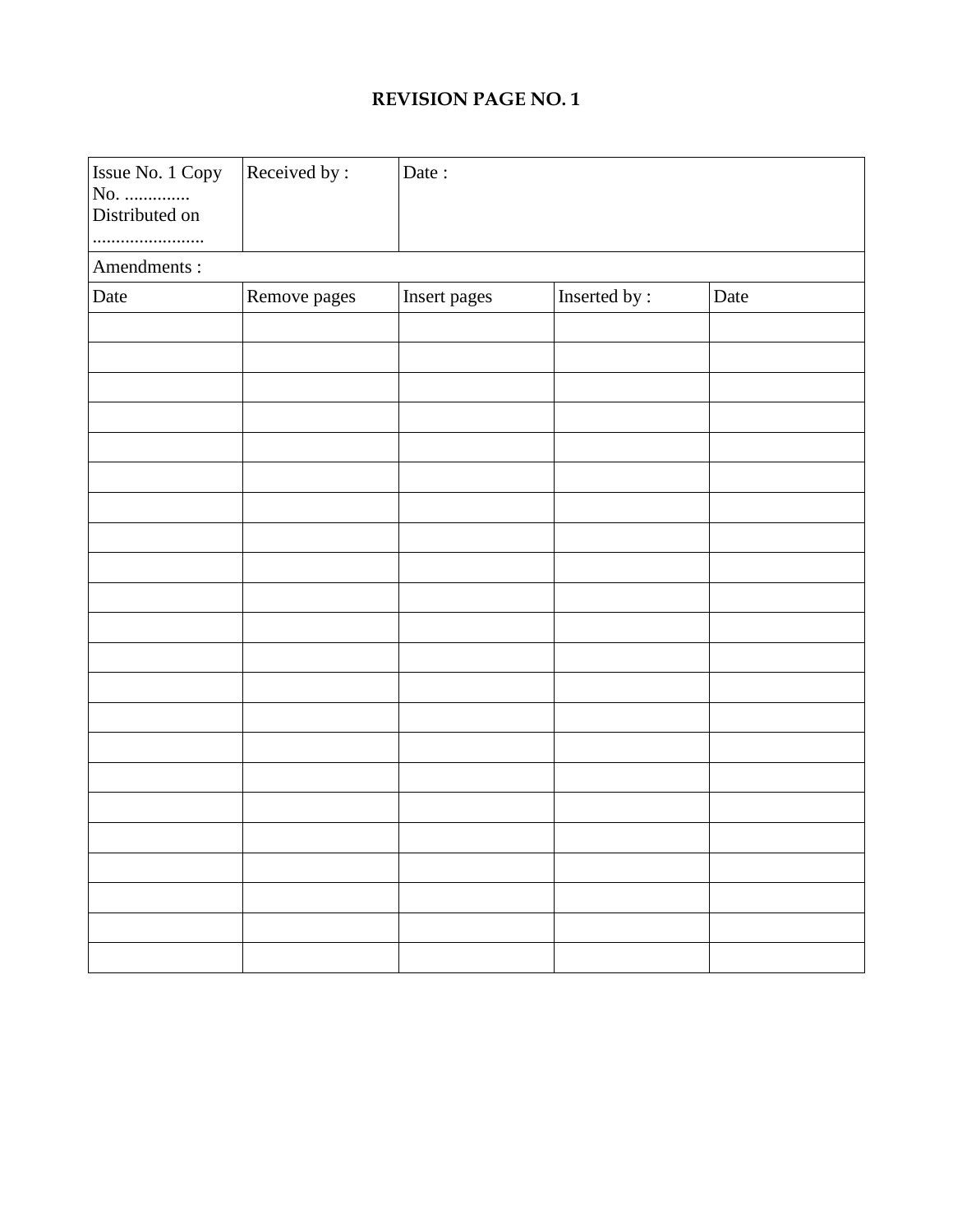#### **REVISION PAGE NO. 1**

| Issue No. 1 Copy<br>No.<br>Distributed on | Received by: | Date:        |               |      |  |  |  |
|-------------------------------------------|--------------|--------------|---------------|------|--|--|--|
| Amendments:                               |              |              |               |      |  |  |  |
| Date                                      | Remove pages | Insert pages | Inserted by : | Date |  |  |  |
|                                           |              |              |               |      |  |  |  |
|                                           |              |              |               |      |  |  |  |
|                                           |              |              |               |      |  |  |  |
|                                           |              |              |               |      |  |  |  |
|                                           |              |              |               |      |  |  |  |
|                                           |              |              |               |      |  |  |  |
|                                           |              |              |               |      |  |  |  |
|                                           |              |              |               |      |  |  |  |
|                                           |              |              |               |      |  |  |  |
|                                           |              |              |               |      |  |  |  |
|                                           |              |              |               |      |  |  |  |
|                                           |              |              |               |      |  |  |  |
|                                           |              |              |               |      |  |  |  |
|                                           |              |              |               |      |  |  |  |
|                                           |              |              |               |      |  |  |  |
|                                           |              |              |               |      |  |  |  |
|                                           |              |              |               |      |  |  |  |
|                                           |              |              |               |      |  |  |  |
|                                           |              |              |               |      |  |  |  |
|                                           |              |              |               |      |  |  |  |
|                                           |              |              |               |      |  |  |  |
|                                           |              |              |               |      |  |  |  |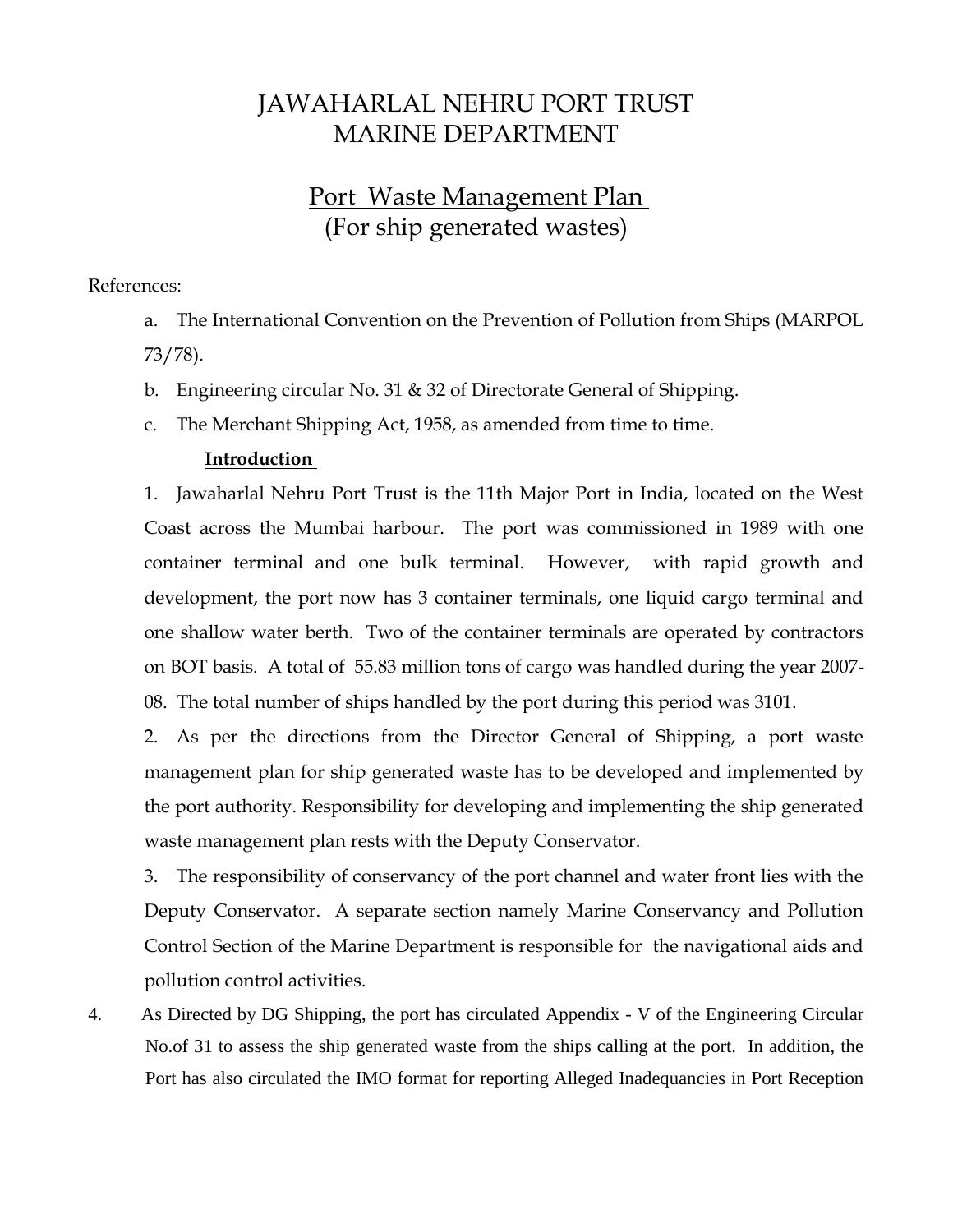## JAWAHARLAL NEHRU PORT TRUST MARINE DEPARTMENT

## Port Waste Management Plan (For ship generated wastes)

#### References:

a. The International Convention on the Prevention of Pollution from Ships (MARPOL 73/78).

- b. Engineering circular No. 31 & 32 of Directorate General of Shipping.
- c. The Merchant Shipping Act, 1958, as amended from time to time.

#### **Introduction**

1. Jawaharlal Nehru Port Trust is the 11th Major Port in India, located on the West Coast across the Mumbai harbour. The port was commissioned in 1989 with one container terminal and one bulk terminal. However, with rapid growth and development, the port now has 3 container terminals, one liquid cargo terminal and one shallow water berth. Two of the container terminals are operated by contractors on BOT basis. A total of 55.83 million tons of cargo was handled during the year 2007- 08. The total number of ships handled by the port during this period was 3101.

2. As per the directions from the Director General of Shipping, a port waste management plan for ship generated waste has to be developed and implemented by the port authority. Responsibility for developing and implementing the ship generated waste management plan rests with the Deputy Conservator.

3. The responsibility of conservancy of the port channel and water front lies with the Deputy Conservator. A separate section namely Marine Conservancy and Pollution Control Section of the Marine Department is responsible for the navigational aids and pollution control activities.

4. As Directed by DG Shipping, the port has circulated Appendix - V of the Engineering Circular No.of 31 to assess the ship generated waste from the ships calling at the port. In addition, the Port has also circulated the IMO format for reporting Alleged Inadequancies in Port Reception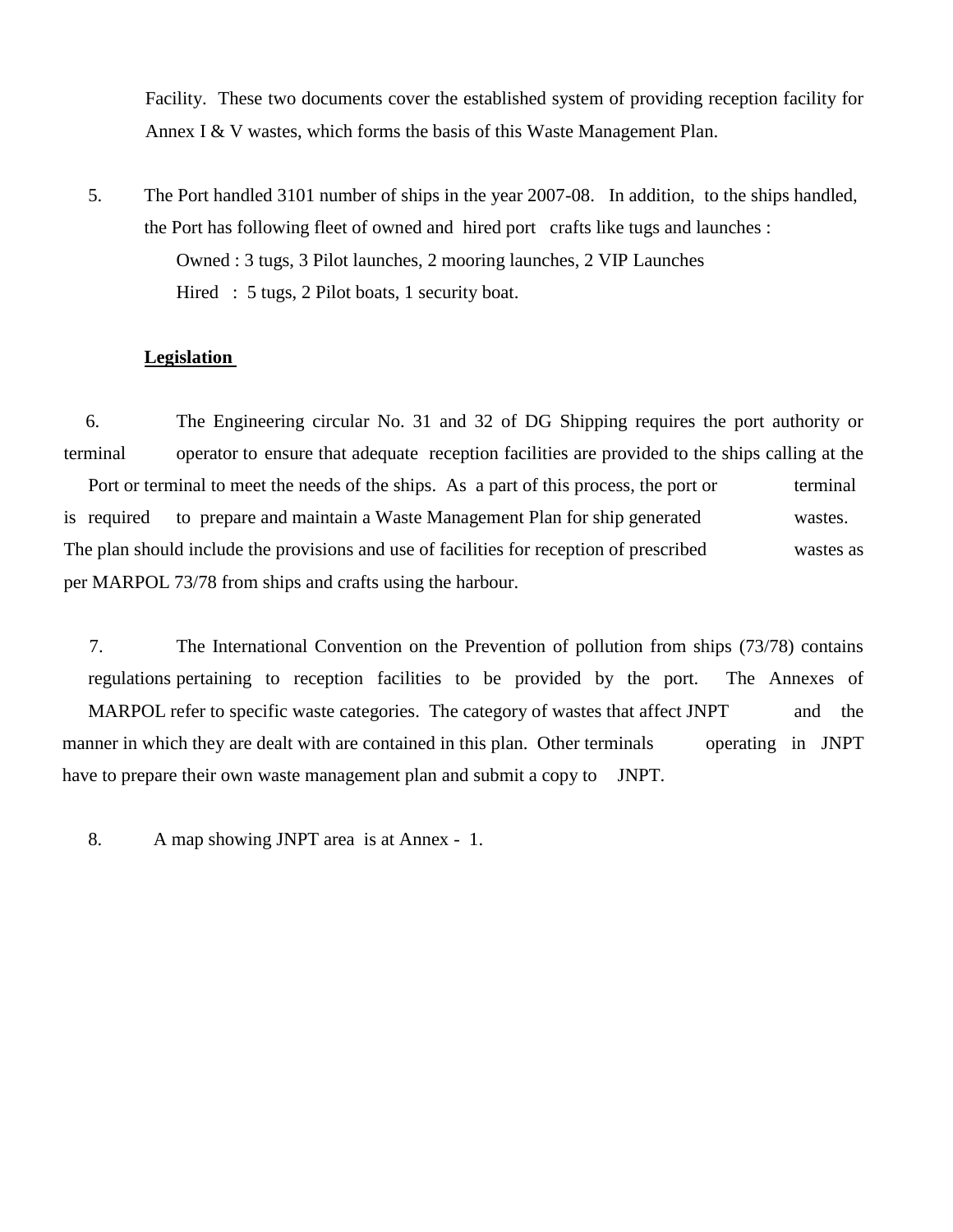Facility. These two documents cover the established system of providing reception facility for Annex I & V wastes, which forms the basis of this Waste Management Plan.

5. The Port handled 3101 number of ships in the year 2007-08. In addition, to the ships handled, the Port has following fleet of owned and hired port crafts like tugs and launches : Owned : 3 tugs, 3 Pilot launches, 2 mooring launches, 2 VIP Launches Hired : 5 tugs, 2 Pilot boats, 1 security boat.

#### **Legislation**

6. The Engineering circular No. 31 and 32 of DG Shipping requires the port authority or terminal operator to ensure that adequate reception facilities are provided to the ships calling at the Port or terminal to meet the needs of the ships. As a part of this process, the port or terminal is required to prepare and maintain a Waste Management Plan for ship generated wastes. The plan should include the provisions and use of facilities for reception of prescribed wastes as per MARPOL 73/78 from ships and crafts using the harbour.

7. The International Convention on the Prevention of pollution from ships (73/78) contains regulations pertaining to reception facilities to be provided by the port. The Annexes of MARPOL refer to specific waste categories. The category of wastes that affect JNPT and the manner in which they are dealt with are contained in this plan. Other terminals operating in JNPT have to prepare their own waste management plan and submit a copy to JNPT.

8. A map showing JNPT area is at Annex - 1.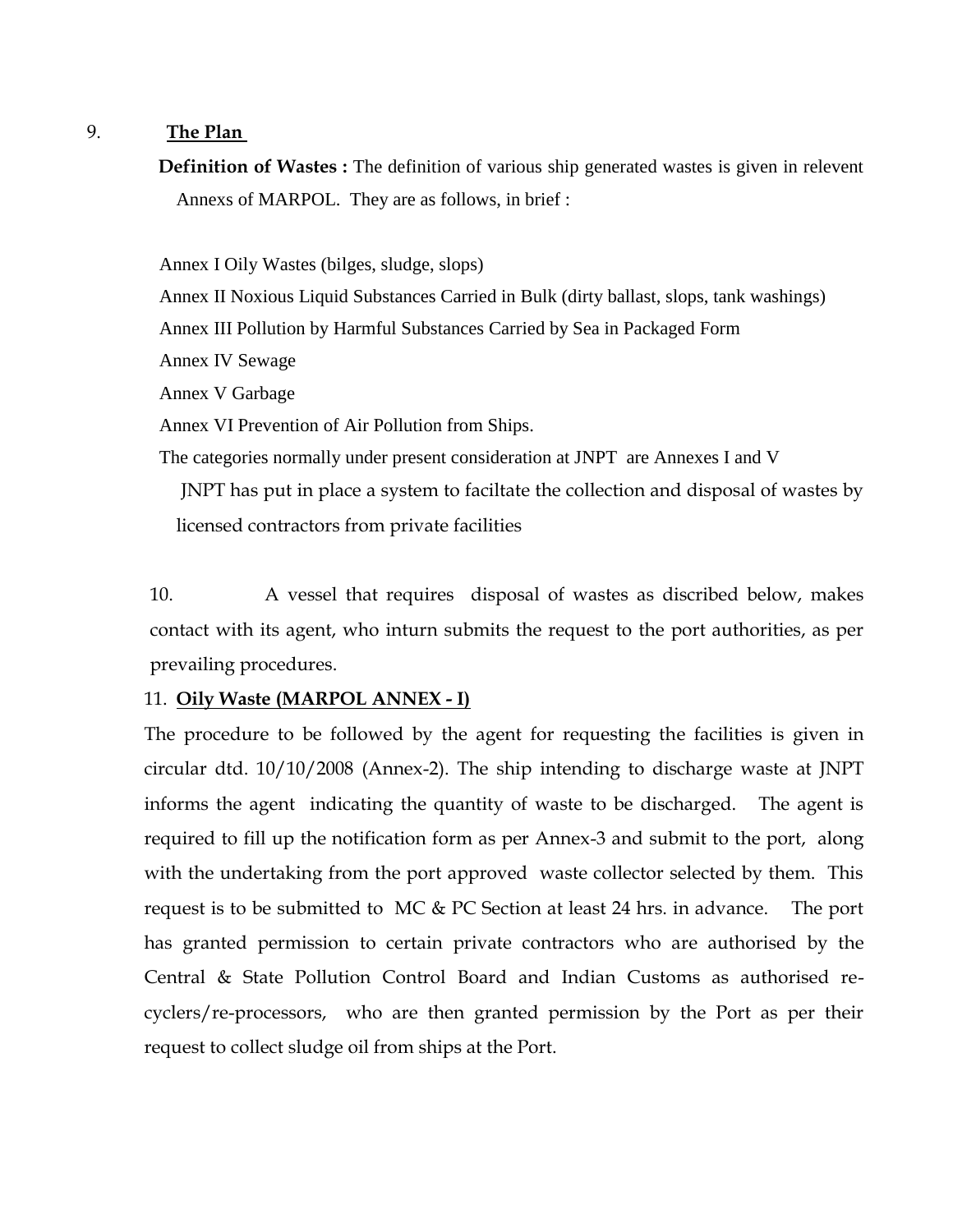#### 9. **The Plan**

**Definition of Wastes :** The definition of various ship generated wastes is given in relevent Annexs of MARPOL. They are as follows, in brief :

Annex I Oily Wastes (bilges, sludge, slops)

Annex II Noxious Liquid Substances Carried in Bulk (dirty ballast, slops, tank washings) Annex III Pollution by Harmful Substances Carried by Sea in Packaged Form Annex IV Sewage Annex V Garbage Annex VI Prevention of Air Pollution from Ships. The categories normally under present consideration at JNPT are Annexes I and V JNPT has put in place a system to faciltate the collection and disposal of wastes by licensed contractors from private facilities

10. A vessel that requires disposal of wastes as discribed below, makes contact with its agent, who inturn submits the request to the port authorities, as per prevailing procedures.

#### 11. **Oily Waste (MARPOL ANNEX - I)**

The procedure to be followed by the agent for requesting the facilities is given in circular dtd. 10/10/2008 (Annex-2). The ship intending to discharge waste at JNPT informs the agent indicating the quantity of waste to be discharged. The agent is required to fill up the notification form as per Annex-3 and submit to the port, along with the undertaking from the port approved waste collector selected by them. This request is to be submitted to MC & PC Section at least 24 hrs. in advance. The port has granted permission to certain private contractors who are authorised by the Central & State Pollution Control Board and Indian Customs as authorised recyclers/re-processors, who are then granted permission by the Port as per their request to collect sludge oil from ships at the Port.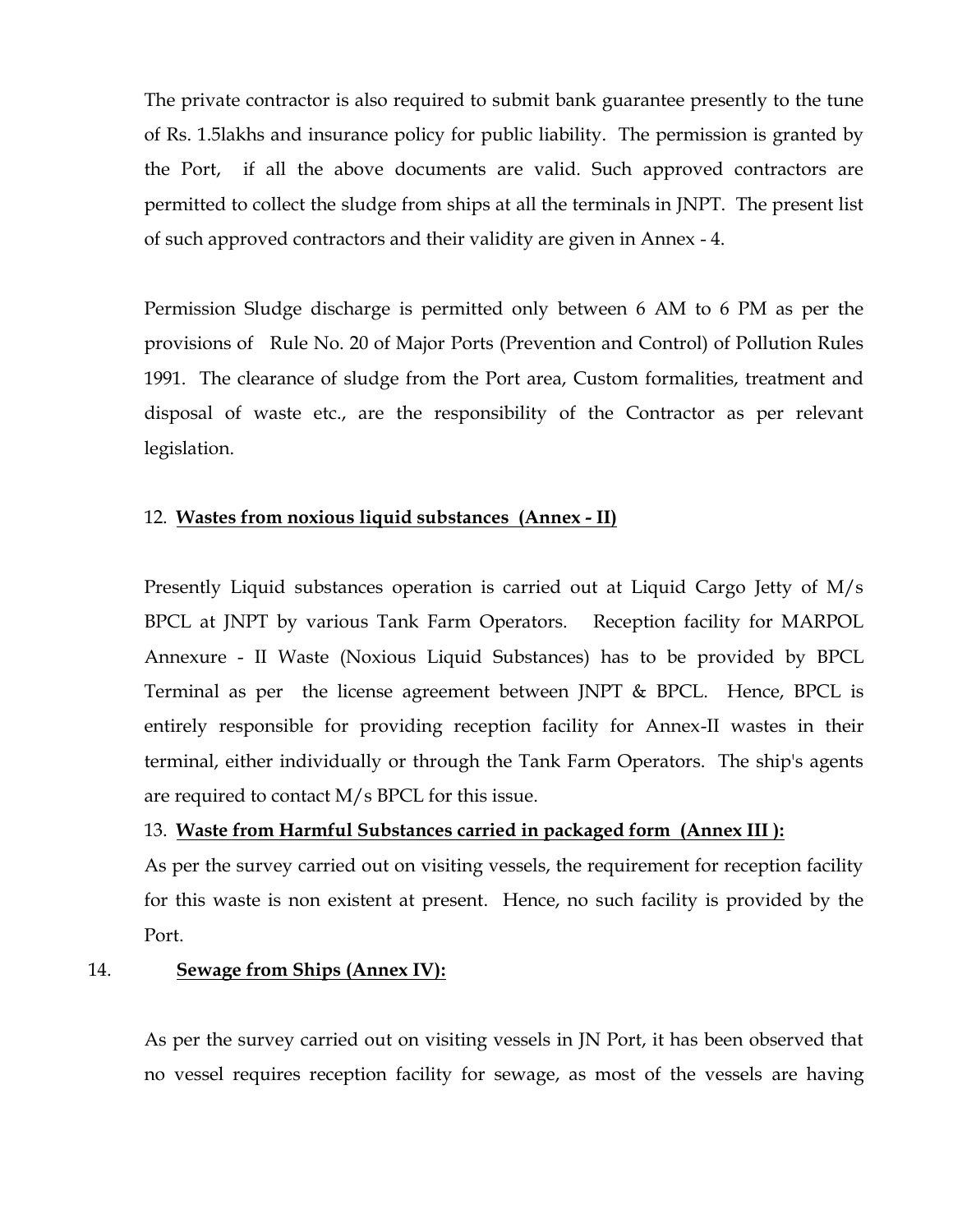The private contractor is also required to submit bank guarantee presently to the tune of Rs. 1.5lakhs and insurance policy for public liability. The permission is granted by the Port, if all the above documents are valid. Such approved contractors are permitted to collect the sludge from ships at all the terminals in JNPT. The present list of such approved contractors and their validity are given in Annex - 4.

Permission Sludge discharge is permitted only between 6 AM to 6 PM as per the provisions of Rule No. 20 of Major Ports (Prevention and Control) of Pollution Rules 1991. The clearance of sludge from the Port area, Custom formalities, treatment and disposal of waste etc., are the responsibility of the Contractor as per relevant legislation.

#### 12. **Wastes from noxious liquid substances (Annex - II)**

Presently Liquid substances operation is carried out at Liquid Cargo Jetty of M/s BPCL at JNPT by various Tank Farm Operators. Reception facility for MARPOL Annexure - II Waste (Noxious Liquid Substances) has to be provided by BPCL Terminal as per the license agreement between JNPT & BPCL. Hence, BPCL is entirely responsible for providing reception facility for Annex-II wastes in their terminal, either individually or through the Tank Farm Operators. The ship's agents are required to contact M/s BPCL for this issue.

#### 13. **Waste from Harmful Substances carried in packaged form (Annex III ):**

As per the survey carried out on visiting vessels, the requirement for reception facility for this waste is non existent at present. Hence, no such facility is provided by the Port.

#### 14. **Sewage from Ships (Annex IV):**

As per the survey carried out on visiting vessels in JN Port, it has been observed that no vessel requires reception facility for sewage, as most of the vessels are having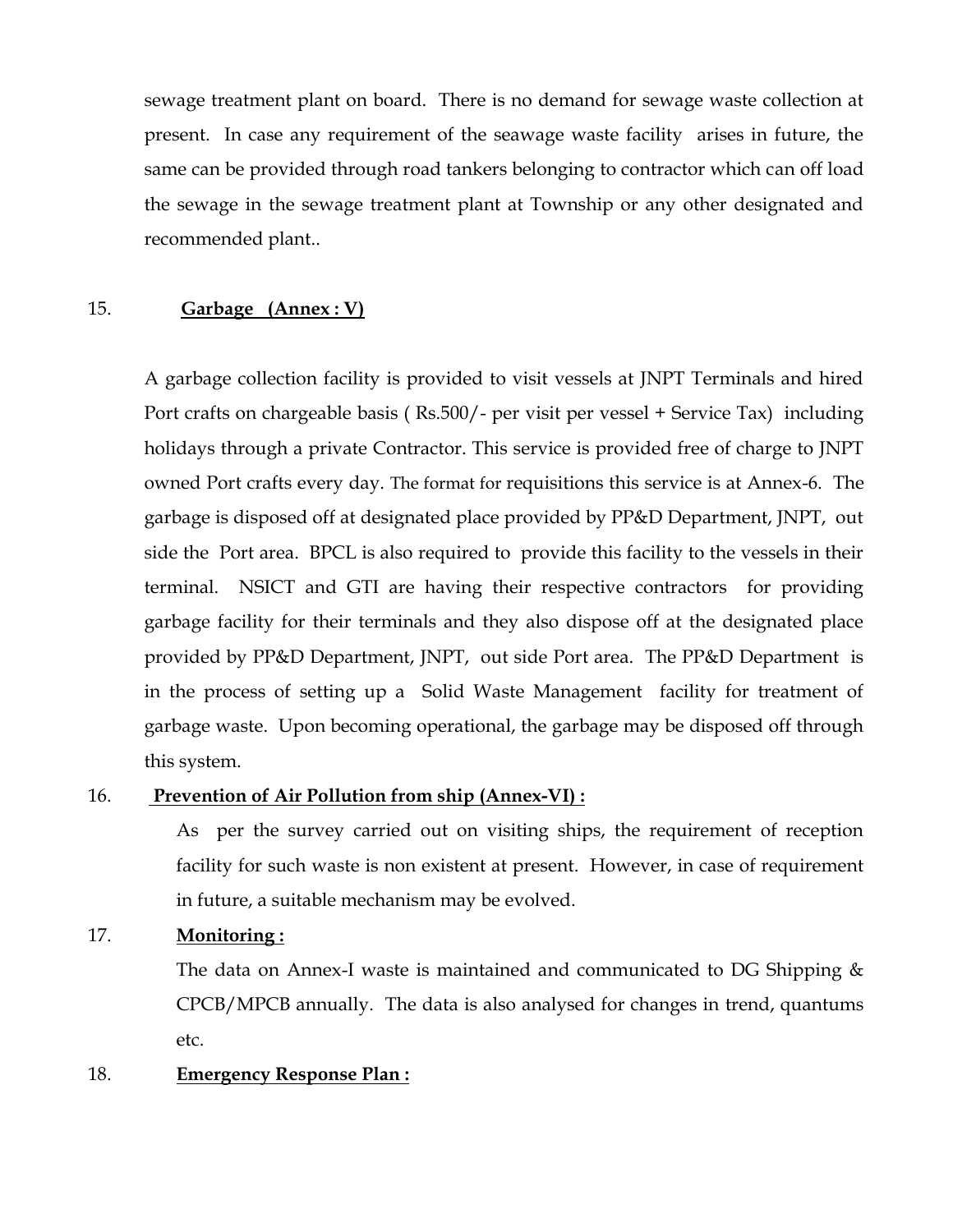sewage treatment plant on board. There is no demand for sewage waste collection at present. In case any requirement of the seawage waste facility arises in future, the same can be provided through road tankers belonging to contractor which can off load the sewage in the sewage treatment plant at Township or any other designated and recommended plant..

#### 15. **Garbage (Annex : V)**

A garbage collection facility is provided to visit vessels at JNPT Terminals and hired Port crafts on chargeable basis ( Rs.500/- per visit per vessel + Service Tax) including holidays through a private Contractor. This service is provided free of charge to JNPT owned Port crafts every day. The format for requisitions this service is at Annex-6. The garbage is disposed off at designated place provided by PP&D Department, JNPT, out side the Port area. BPCL is also required to provide this facility to the vessels in their terminal. NSICT and GTI are having their respective contractors for providing garbage facility for their terminals and they also dispose off at the designated place provided by PP&D Department, JNPT, out side Port area. The PP&D Department is in the process of setting up a Solid Waste Management facility for treatment of garbage waste. Upon becoming operational, the garbage may be disposed off through this system.

#### 16. **Prevention of Air Pollution from ship (Annex-VI) :**

As per the survey carried out on visiting ships, the requirement of reception facility for such waste is non existent at present. However, in case of requirement in future, a suitable mechanism may be evolved.

#### 17. **Monitoring :**

The data on Annex-I waste is maintained and communicated to DG Shipping & CPCB/MPCB annually. The data is also analysed for changes in trend, quantums etc.

#### 18. **Emergency Response Plan :**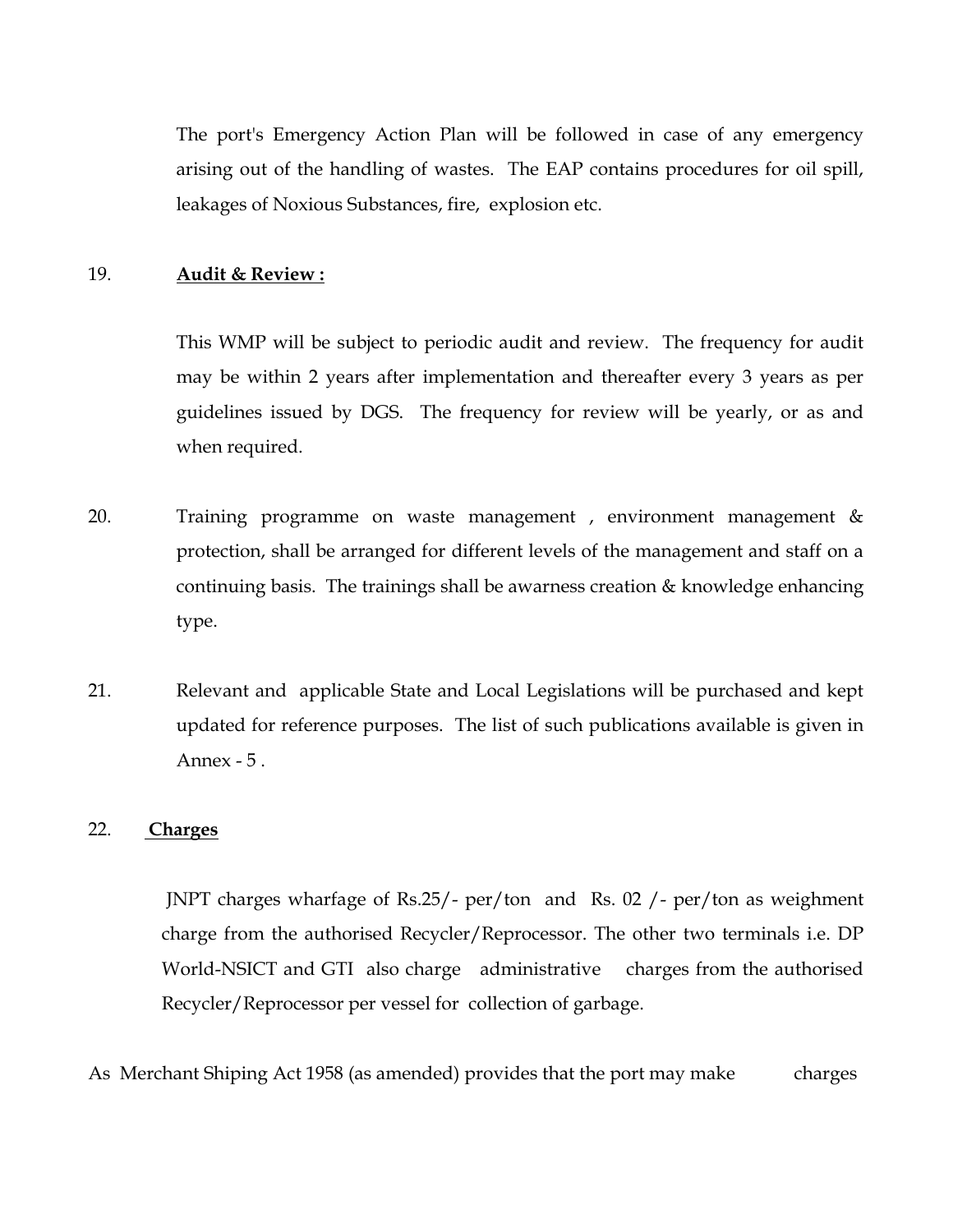The port's Emergency Action Plan will be followed in case of any emergency arising out of the handling of wastes. The EAP contains procedures for oil spill, leakages of Noxious Substances, fire, explosion etc.

#### 19. **Audit & Review :**

This WMP will be subject to periodic audit and review. The frequency for audit may be within 2 years after implementation and thereafter every 3 years as per guidelines issued by DGS. The frequency for review will be yearly, or as and when required.

- 20. Training programme on waste management , environment management & protection, shall be arranged for different levels of the management and staff on a continuing basis. The trainings shall be awarness creation & knowledge enhancing type.
- 21. Relevant and applicable State and Local Legislations will be purchased and kept updated for reference purposes. The list of such publications available is given in Annex - 5 .

#### 22. **Charges**

JNPT charges wharfage of Rs.25/- per/ton and Rs. 02 /- per/ton as weighment charge from the authorised Recycler/Reprocessor. The other two terminals i.e. DP World-NSICT and GTI also charge administrative charges from the authorised Recycler/Reprocessor per vessel for collection of garbage.

As Merchant Shiping Act 1958 (as amended) provides that the port may make charges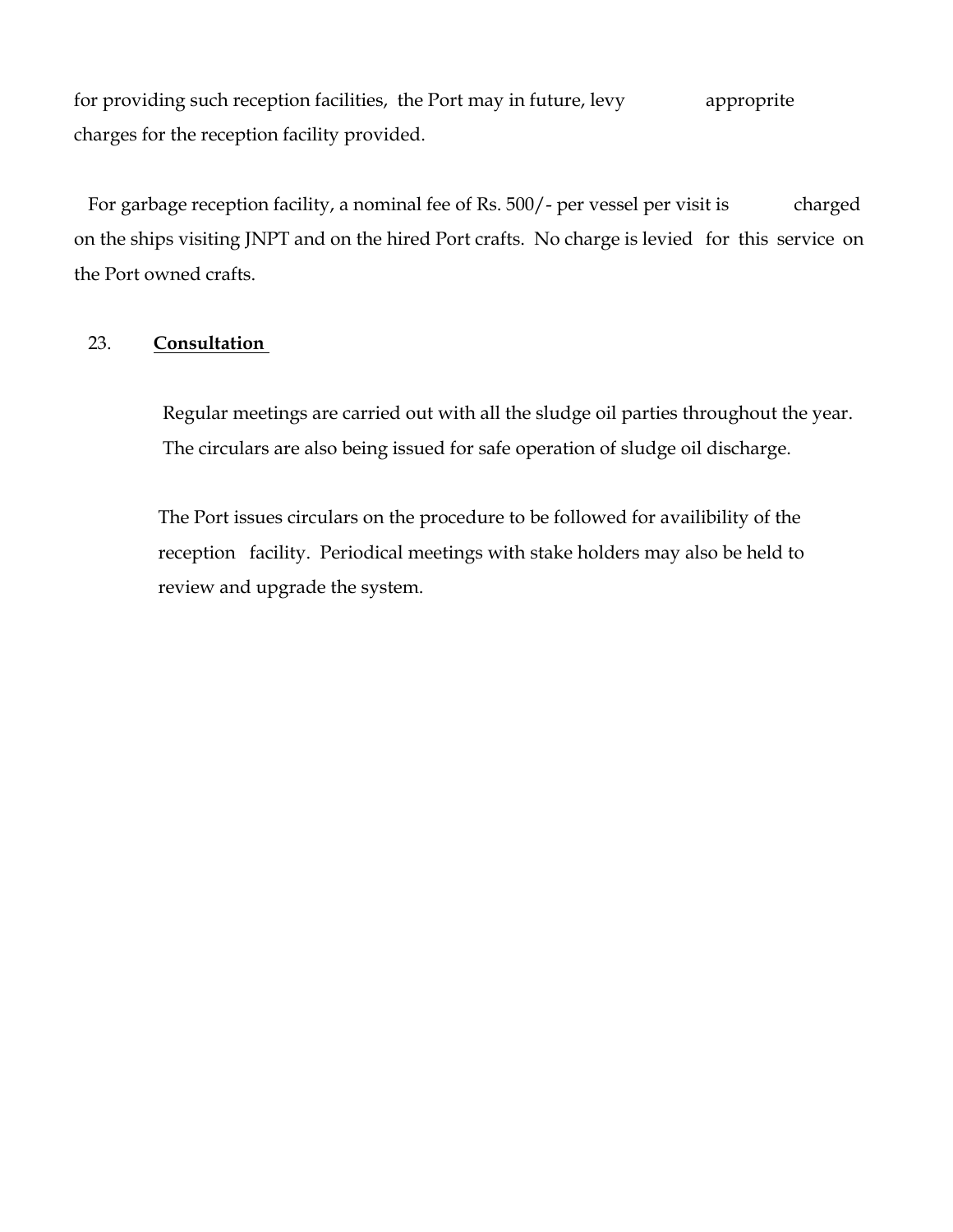for providing such reception facilities, the Port may in future, levy approprite charges for the reception facility provided.

For garbage reception facility, a nominal fee of Rs. 500/- per vessel per visit is charged on the ships visiting JNPT and on the hired Port crafts. No charge is levied for this service on the Port owned crafts.

#### 23. **Consultation**

 Regular meetings are carried out with all the sludge oil parties throughout the year. The circulars are also being issued for safe operation of sludge oil discharge.

 The Port issues circulars on the procedure to be followed for availibility of the reception facility. Periodical meetings with stake holders may also be held to review and upgrade the system.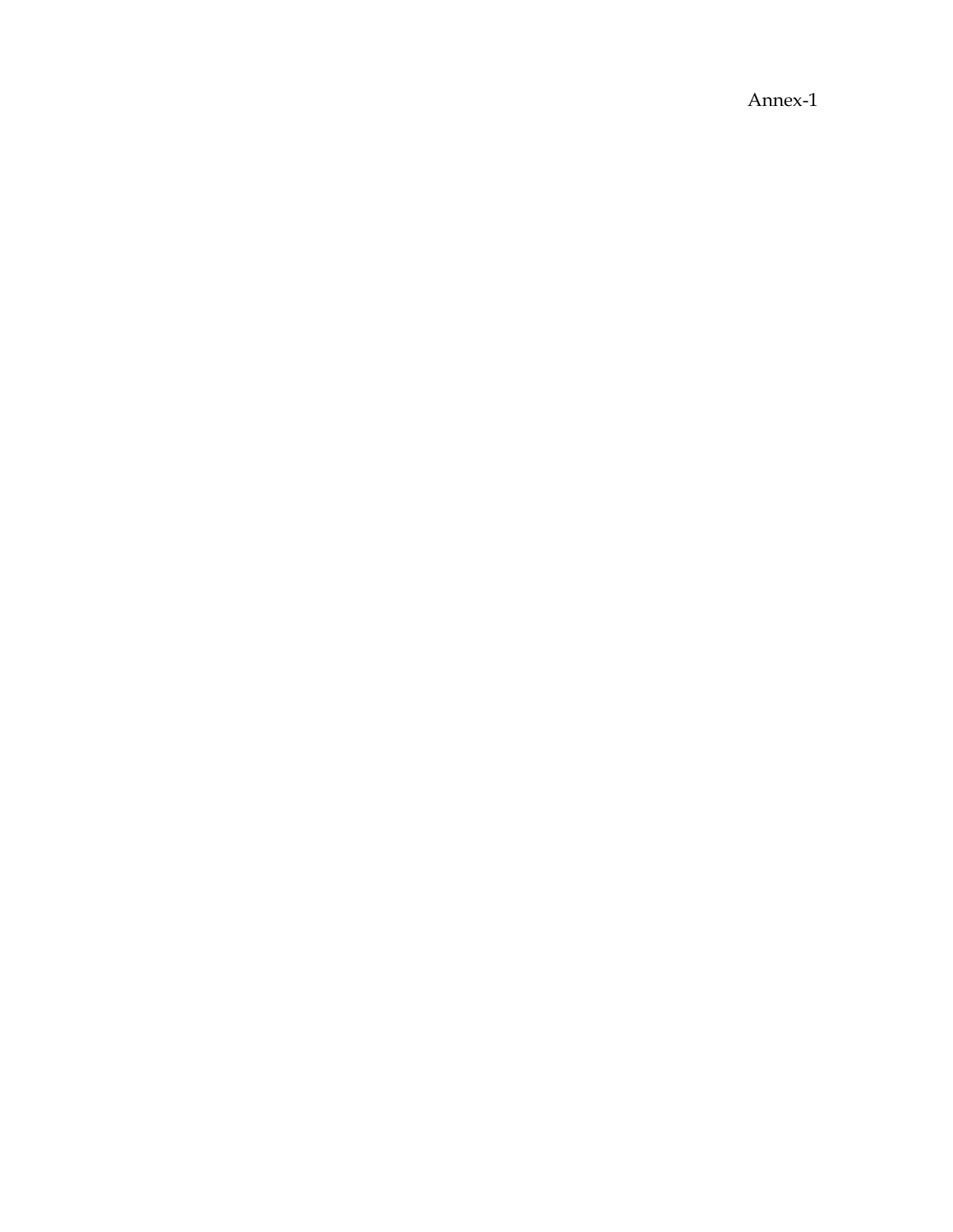Annex-1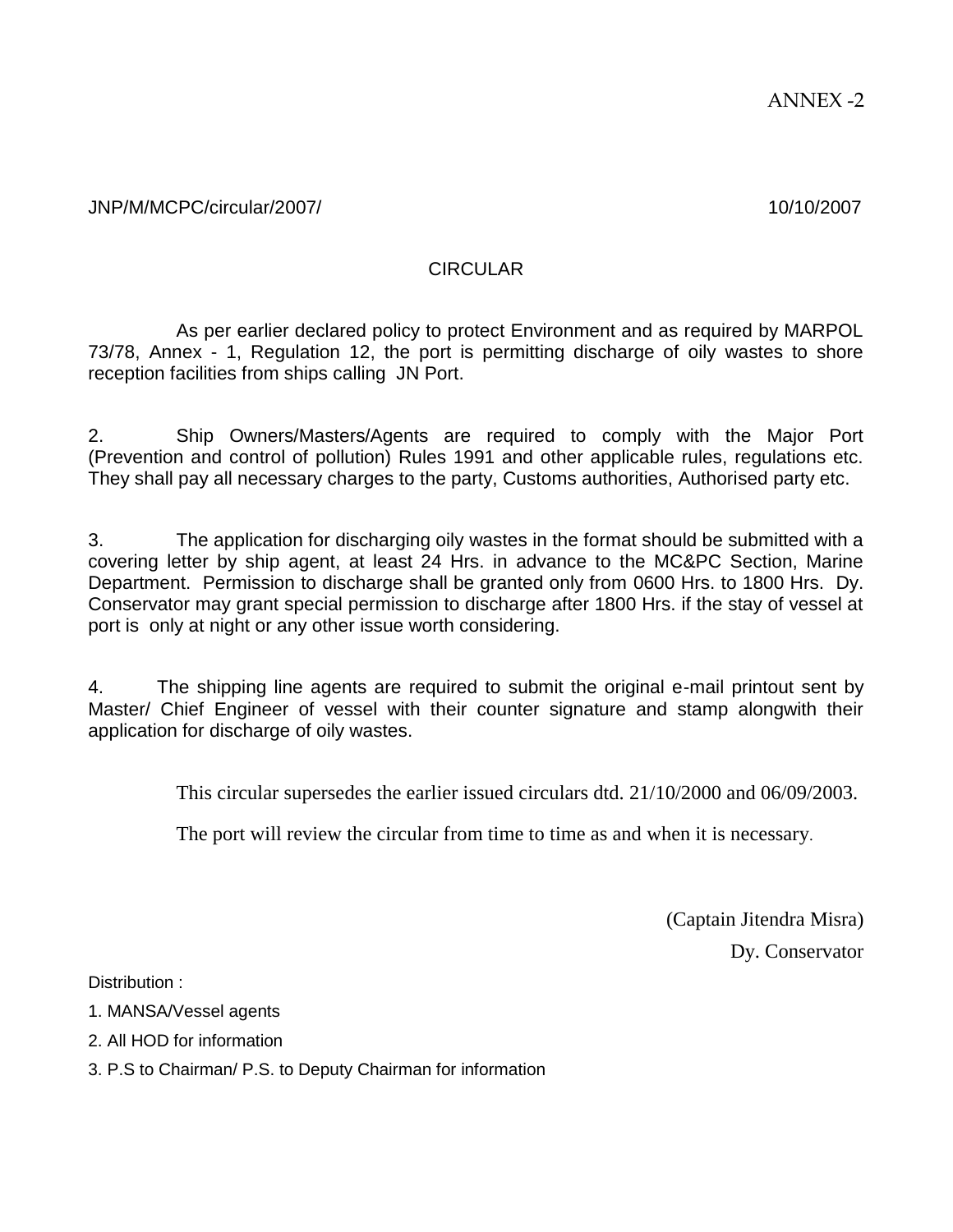#### CIRCULAR

As per earlier declared policy to protect Environment and as required by MARPOL 73/78, Annex - 1, Regulation 12, the port is permitting discharge of oily wastes to shore reception facilities from ships calling JN Port.

2. Ship Owners/Masters/Agents are required to comply with the Major Port (Prevention and control of pollution) Rules 1991 and other applicable rules, regulations etc. They shall pay all necessary charges to the party, Customs authorities, Authorised party etc.

3. The application for discharging oily wastes in the format should be submitted with a covering letter by ship agent, at least 24 Hrs. in advance to the MC&PC Section, Marine Department. Permission to discharge shall be granted only from 0600 Hrs. to 1800 Hrs. Dy. Conservator may grant special permission to discharge after 1800 Hrs. if the stay of vessel at port is only at night or any other issue worth considering.

4. The shipping line agents are required to submit the original e-mail printout sent by Master/ Chief Engineer of vessel with their counter signature and stamp alongwith their application for discharge of oily wastes.

This circular supersedes the earlier issued circulars dtd. 21/10/2000 and 06/09/2003.

The port will review the circular from time to time as and when it is necessary.

(Captain Jitendra Misra) Dy. Conservator

Distribution :

- 1. MANSA/Vessel agents
- 2. All HOD for information

3. P.S to Chairman/ P.S. to Deputy Chairman for information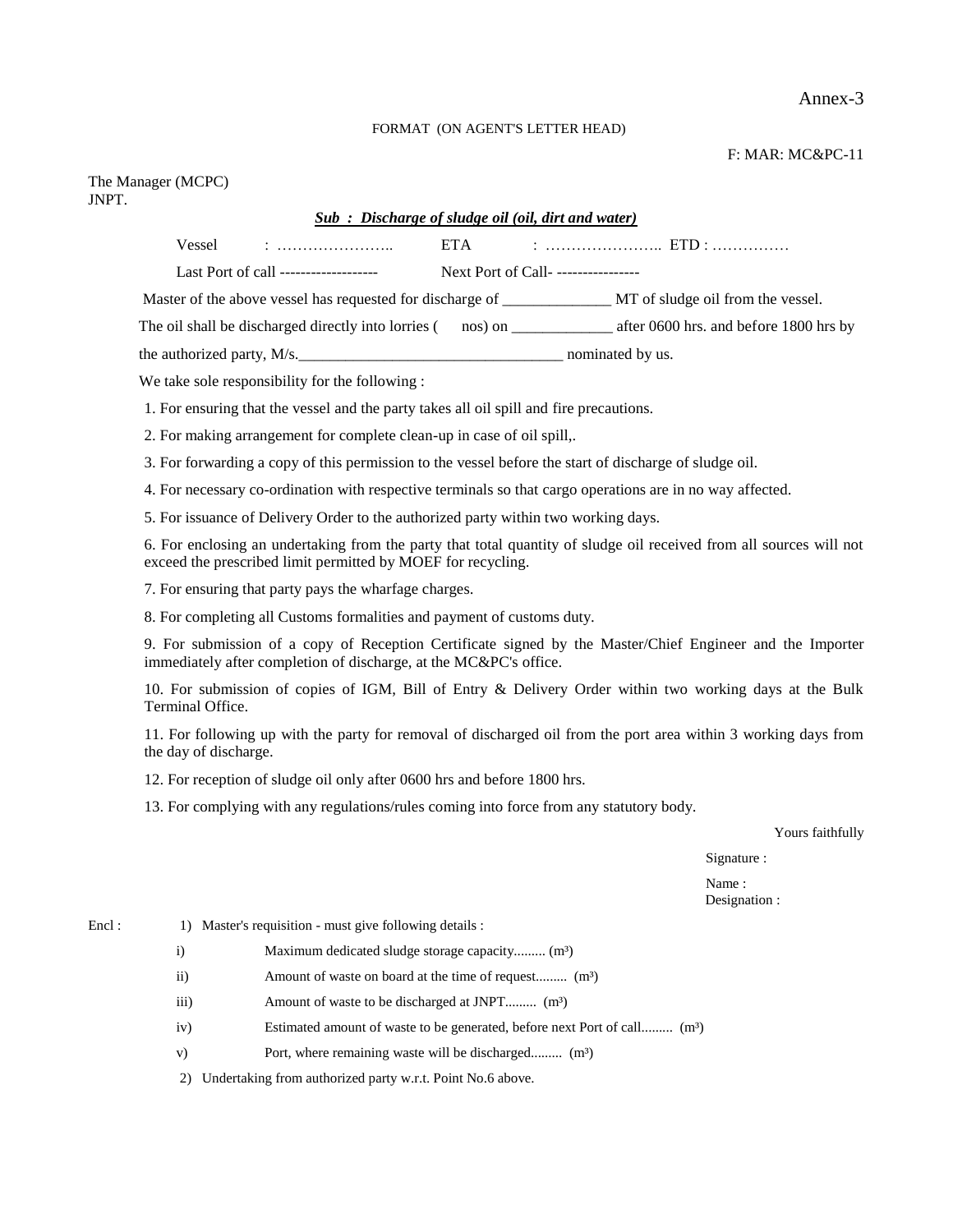#### Annex-3

F: MAR: MC&PC-11

#### FORMAT (ON AGENT'S LETTER HEAD)

#### The Manager (MCPC) JNPT.

#### *Sub : Discharge of sludge oil (oil, dirt and water)*

Vessel : ………………….. ETA : ………………….. ETD : ……………

Last Port of call ------------------- Next Port of Call- ----------------

Master of the above vessel has requested for discharge of \_\_\_\_\_\_\_\_\_\_\_\_\_\_\_ MT of sludge oil from the vessel.

The oil shall be discharged directly into lorries ( nos) on \_\_\_\_\_\_\_\_\_\_\_\_\_\_\_ after 0600 hrs. and before 1800 hrs by

the authorized party,  $M/s$ .

We take sole responsibility for the following :

1. For ensuring that the vessel and the party takes all oil spill and fire precautions.

2. For making arrangement for complete clean-up in case of oil spill,.

3. For forwarding a copy of this permission to the vessel before the start of discharge of sludge oil.

4. For necessary co-ordination with respective terminals so that cargo operations are in no way affected.

5. For issuance of Delivery Order to the authorized party within two working days.

6. For enclosing an undertaking from the party that total quantity of sludge oil received from all sources will not exceed the prescribed limit permitted by MOEF for recycling.

7. For ensuring that party pays the wharfage charges.

8. For completing all Customs formalities and payment of customs duty.

9. For submission of a copy of Reception Certificate signed by the Master/Chief Engineer and the Importer immediately after completion of discharge, at the MC&PC's office.

10. For submission of copies of IGM, Bill of Entry & Delivery Order within two working days at the Bulk Terminal Office.

11. For following up with the party for removal of discharged oil from the port area within 3 working days from the day of discharge.

12. For reception of sludge oil only after 0600 hrs and before 1800 hrs.

13. For complying with any regulations/rules coming into force from any statutory body.

Yours faithfully

Signature :

Name : Designation :

#### Encl : 1) Master's requisition - must give following details :

- i) Maximum dedicated sludge storage capacity......... (m<sup>3</sup>)
- ii) Amount of waste on board at the time of request......... (m<sup>3</sup>)
- iii) Amount of waste to be discharged at JNPT......... (m<sup>3</sup>)
- iv) Estimated amount of waste to be generated, before next Port of call......... (m<sup>3</sup>)
- v) Port, where remaining waste will be discharged......... (m<sup>3</sup>)

2) Undertaking from authorized party w.r.t. Point No.6 above.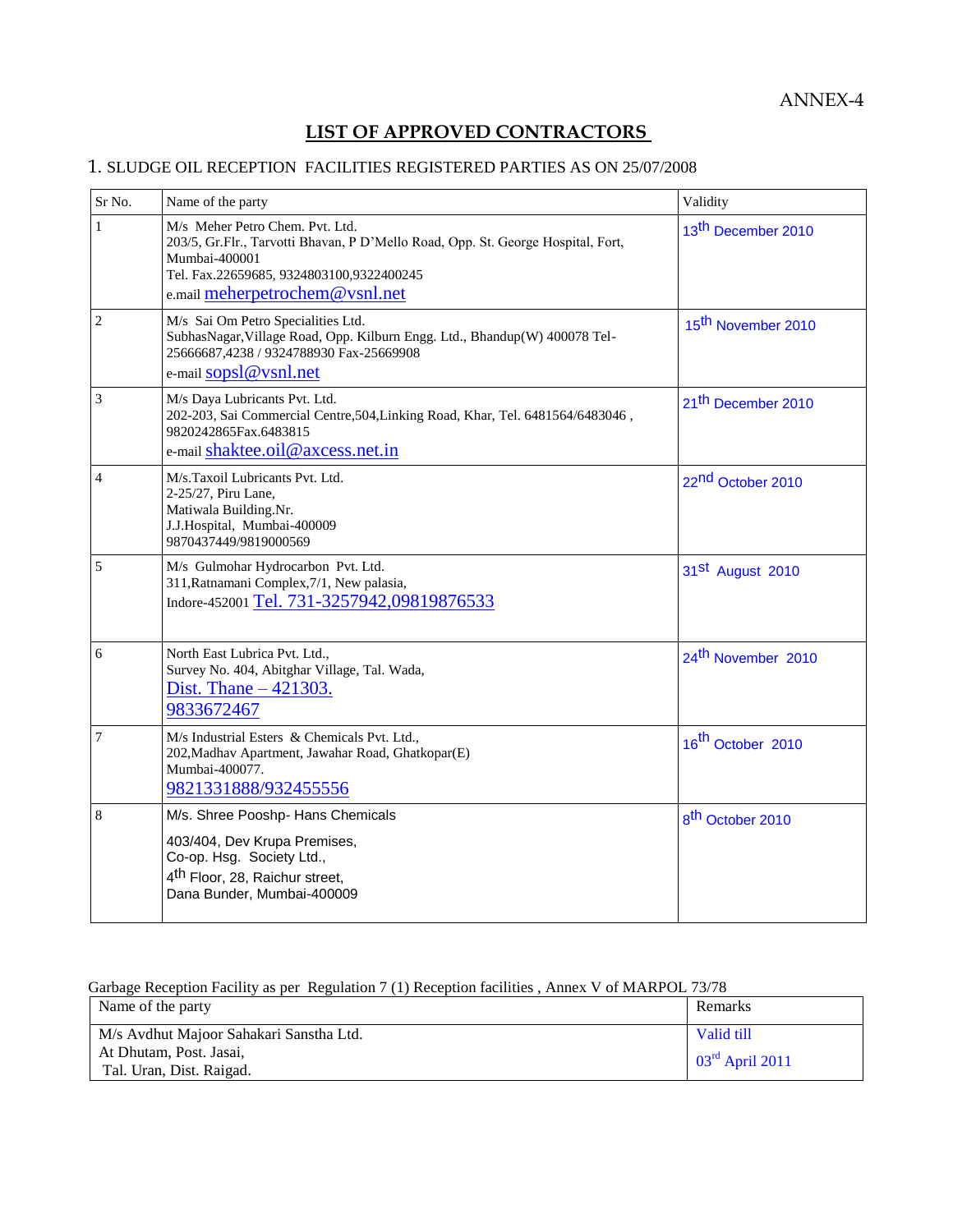#### **LIST OF APPROVED CONTRACTORS**

#### 1. SLUDGE OIL RECEPTION FACILITIES REGISTERED PARTIES AS ON 25/07/2008

| Sr No.         | Name of the party                                                                                                                                                                | Validity                       |
|----------------|----------------------------------------------------------------------------------------------------------------------------------------------------------------------------------|--------------------------------|
| $\mathbf{1}$   | M/s Meher Petro Chem. Pvt. Ltd.<br>203/5, Gr.Flr., Tarvotti Bhavan, P D'Mello Road, Opp. St. George Hospital, Fort,<br>Mumbai-400001<br>Tel. Fax.22659685, 9324803100,9322400245 | 13 <sup>th</sup> December 2010 |
|                | e.mail meherpetrochem@vsnl.net                                                                                                                                                   |                                |
| $\overline{c}$ | M/s Sai Om Petro Specialities Ltd.<br>SubhasNagar, Village Road, Opp. Kilburn Engg. Ltd., Bhandup(W) 400078 Tel-<br>25666687,4238 / 9324788930 Fax-25669908                      | 15 <sup>th</sup> November 2010 |
|                | e-mail sopsl@vsnl.net                                                                                                                                                            |                                |
| 3              | M/s Daya Lubricants Pvt. Ltd.<br>202-203, Sai Commercial Centre, 504, Linking Road, Khar, Tel. 6481564/6483046,<br>9820242865Fax.6483815<br>e-mail shaktee.oil@axcess.net.in     | 21 <sup>th</sup> December 2010 |
| 4              | M/s.Taxoil Lubricants Pvt. Ltd.<br>2-25/27, Piru Lane,<br>Matiwala Building.Nr.<br>J.J.Hospital, Mumbai-400009<br>9870437449/9819000569                                          | 22 <sup>nd</sup> October 2010  |
| 5              | M/s Gulmohar Hydrocarbon Pvt. Ltd.<br>311, Ratnamani Complex, 7/1, New palasia,<br>Indore-452001 Tel. 731-3257942,09819876533                                                    | 31 <sup>st</sup> August 2010   |
| 6              | North East Lubrica Pvt. Ltd.,<br>Survey No. 404, Abitghar Village, Tal. Wada,<br>Dist. Thane $-421303$ .<br>9833672467                                                           | 24 <sup>th</sup> November 2010 |
| $\overline{7}$ | M/s Industrial Esters & Chemicals Pvt. Ltd.,<br>202, Madhav Apartment, Jawahar Road, Ghatkopar(E)<br>Mumbai-400077.<br>9821331888/932455556                                      | 16 <sup>th</sup> October 2010  |
| 8              | M/s. Shree Pooshp- Hans Chemicals                                                                                                                                                | 8 <sup>th</sup> October 2010   |
|                | 403/404, Dev Krupa Premises,<br>Co-op. Hsg. Society Ltd.,<br>4 <sup>th</sup> Floor, 28, Raichur street,<br>Dana Bunder, Mumbai-400009                                            |                                |

#### Garbage Reception Facility as per Regulation 7 (1) Reception facilities , Annex V of MARPOL 73/78

| Name of the party                       | Remarks           |
|-----------------------------------------|-------------------|
| M/s Avdhut Majoor Sahakari Sanstha Ltd. | Valid till        |
| At Dhutam, Post. Jasai,                 | $03rd$ April 2011 |
| Tal. Uran, Dist. Raigad.                |                   |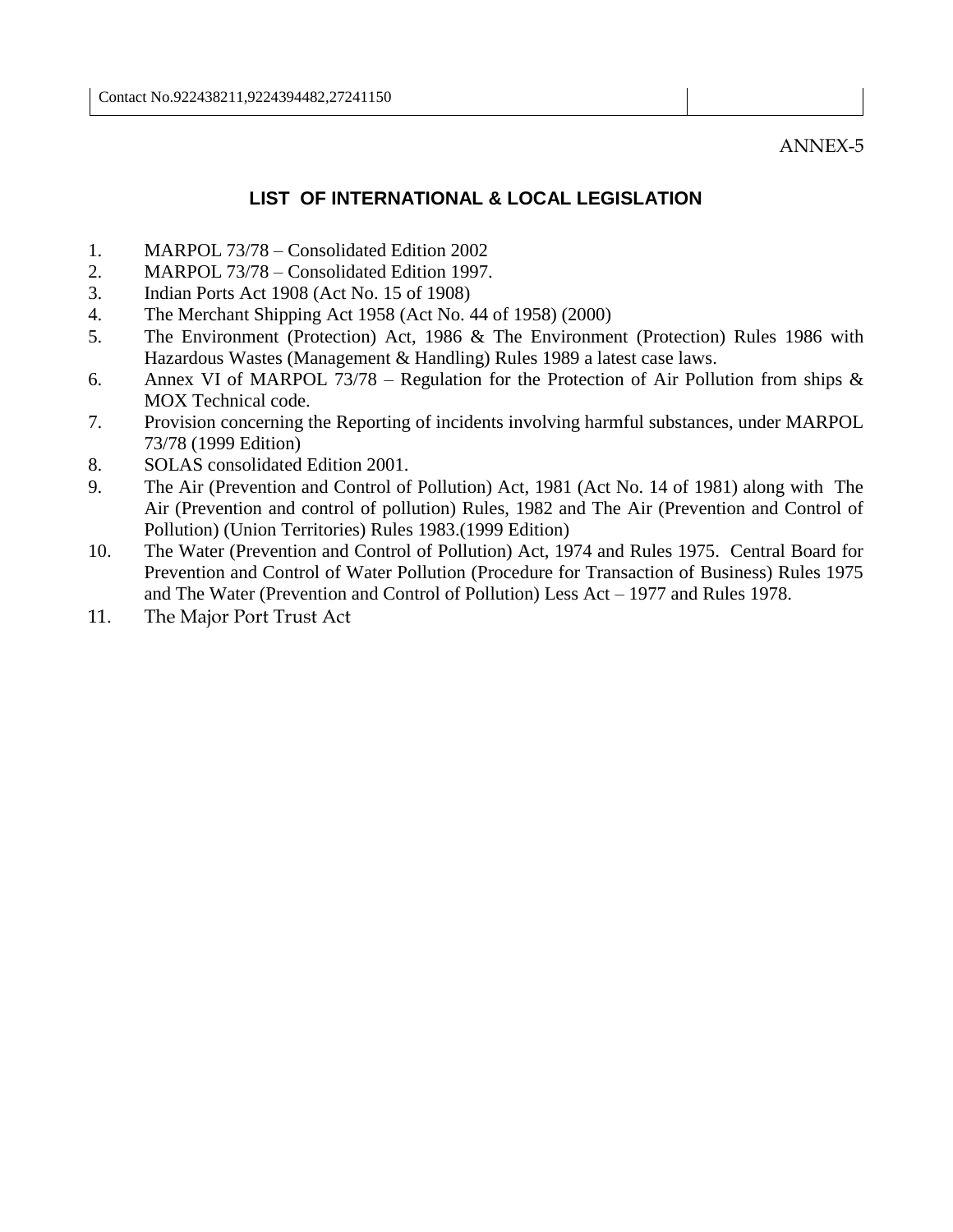ANNEX-5

#### **LIST OF INTERNATIONAL & LOCAL LEGISLATION**

- 1. MARPOL 73/78 Consolidated Edition 2002
- 2. MARPOL 73/78 Consolidated Edition 1997.
- 3. Indian Ports Act 1908 (Act No. 15 of 1908)
- 4. The Merchant Shipping Act 1958 (Act No. 44 of 1958) (2000)
- 5. The Environment (Protection) Act, 1986 & The Environment (Protection) Rules 1986 with Hazardous Wastes (Management & Handling) Rules 1989 a latest case laws.
- 6. Annex VI of MARPOL 73/78 Regulation for the Protection of Air Pollution from ships  $\&$ MOX Technical code.
- 7. Provision concerning the Reporting of incidents involving harmful substances, under MARPOL 73/78 (1999 Edition)
- 8. SOLAS consolidated Edition 2001.
- 9. The Air (Prevention and Control of Pollution) Act, 1981 (Act No. 14 of 1981) along with The Air (Prevention and control of pollution) Rules, 1982 and The Air (Prevention and Control of Pollution) (Union Territories) Rules 1983.(1999 Edition)
- 10. The Water (Prevention and Control of Pollution) Act, 1974 and Rules 1975. Central Board for Prevention and Control of Water Pollution (Procedure for Transaction of Business) Rules 1975 and The Water (Prevention and Control of Pollution) Less Act – 1977 and Rules 1978.
- 11. The Major Port Trust Act